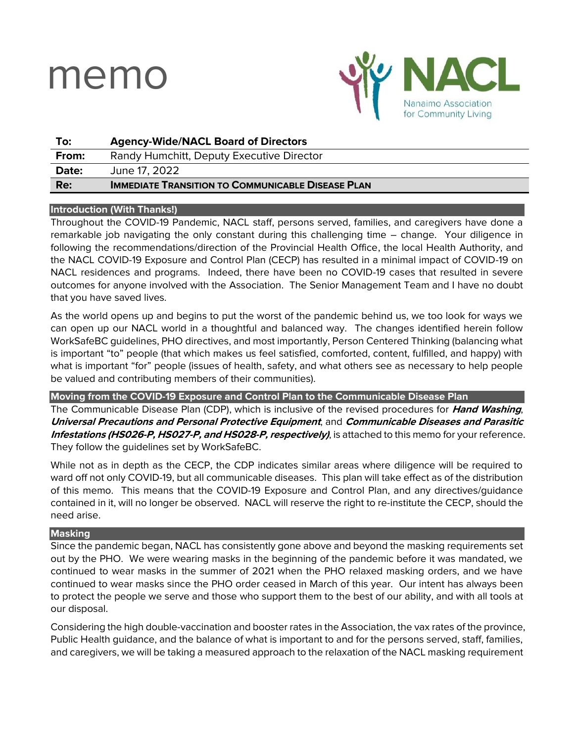# memo



| To:   | <b>Agency-Wide/NACL Board of Directors</b>               |
|-------|----------------------------------------------------------|
| From: | Randy Humchitt, Deputy Executive Director                |
| Date: | June 17, 2022                                            |
| Re:   | <b>IMMEDIATE TRANSITION TO COMMUNICABLE DISEASE PLAN</b> |
|       |                                                          |

## **Introduction (With Thanks!)**

Throughout the COVID-19 Pandemic, NACL staff, persons served, families, and caregivers have done a remarkable job navigating the only constant during this challenging time – change. Your diligence in following the recommendations/direction of the Provincial Health Office, the local Health Authority, and the NACL COVID-19 Exposure and Control Plan (CECP) has resulted in a minimal impact of COVID-19 on NACL residences and programs. Indeed, there have been no COVID-19 cases that resulted in severe outcomes for anyone involved with the Association. The Senior Management Team and I have no doubt that you have saved lives.

As the world opens up and begins to put the worst of the pandemic behind us, we too look for ways we can open up our NACL world in a thoughtful and balanced way. The changes identified herein follow WorkSafeBC guidelines, PHO directives, and most importantly, Person Centered Thinking (balancing what is important "to" people (that which makes us feel satisfied, comforted, content, fulfilled, and happy) with what is important "for" people (issues of health, safety, and what others see as necessary to help people be valued and contributing members of their communities).

## **Moving from the COVID-19 Exposure and Control Plan to the Communicable Disease Plan**

The Communicable Disease Plan (CDP), which is inclusive of the revised procedures for **Hand Washing**, **Universal Precautions and Personal Protective Equipment**, and **Communicable Diseases and Parasitic Infestations (HS026-P, HS027-P, and HS028-P, respectively)**, is attached to this memo for your reference. They follow the guidelines set by WorkSafeBC.

While not as in depth as the CECP, the CDP indicates similar areas where diligence will be required to ward off not only COVID-19, but all communicable diseases. This plan will take effect as of the distribution of this memo. This means that the COVID-19 Exposure and Control Plan, and any directives/guidance contained in it, will no longer be observed. NACL will reserve the right to re-institute the CECP, should the need arise.

## **Masking**

Since the pandemic began, NACL has consistently gone above and beyond the masking requirements set out by the PHO. We were wearing masks in the beginning of the pandemic before it was mandated, we continued to wear masks in the summer of 2021 when the PHO relaxed masking orders, and we have continued to wear masks since the PHO order ceased in March of this year. Our intent has always been to protect the people we serve and those who support them to the best of our ability, and with all tools at our disposal.

Considering the high double-vaccination and booster rates in the Association, the vax rates of the province, Public Health guidance, and the balance of what is important to and for the persons served, staff, families, and caregivers, we will be taking a measured approach to the relaxation of the NACL masking requirement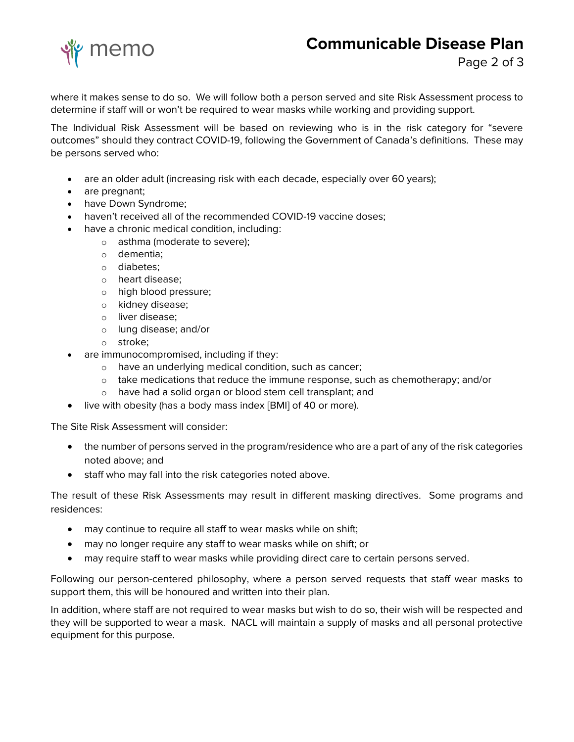## memo **Communicable Disease Plan**

where it makes sense to do so. We will follow both a person served and site Risk Assessment process to determine if staff will or won't be required to wear masks while working and providing support.

The Individual Risk Assessment will be based on reviewing who is in the risk category for "severe outcomes" should they contract COVID-19, following the Government of Canada's definitions. These may be persons served who:

- are an older adult (increasing risk with each decade, especially over 60 years);
- are pregnant;
- have Down Syndrome;
- haven't received all of the recommended COVID-19 vaccine doses;
- have a chronic medical condition, including:
	- o asthma (moderate to severe);
	- o dementia;
	- o diabetes;
	- o heart disease;
	- o high blood pressure;
	- o kidney disease;
	- o liver disease;
	- o lung disease; and/or
	- o stroke;
- are immunocompromised, including if they:
	- o have an underlying medical condition, such as cancer;
	- o take medications that reduce the immune response, such as chemotherapy; and/or
	- o have had a solid organ or blood stem cell transplant; and
- live with obesity (has a body mass index [BMI] of 40 or more).

The Site Risk Assessment will consider:

- the number of persons served in the program/residence who are a part of any of the risk categories noted above; and
- staff who may fall into the risk categories noted above.

The result of these Risk Assessments may result in different masking directives. Some programs and residences:

- may continue to require all staff to wear masks while on shift;
- may no longer require any staff to wear masks while on shift; or
- may require staff to wear masks while providing direct care to certain persons served.

Following our person-centered philosophy, where a person served requests that staff wear masks to support them, this will be honoured and written into their plan.

In addition, where staff are not required to wear masks but wish to do so, their wish will be respected and they will be supported to wear a mask. NACL will maintain a supply of masks and all personal protective equipment for this purpose.